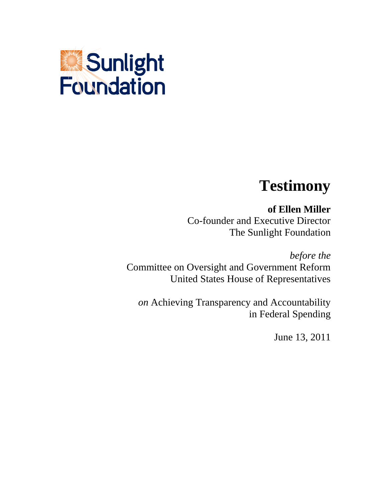

## **Testimony**

**of Ellen Miller** Co-founder and Executive Director The Sunlight Foundation

*before the* Committee on Oversight and Government Reform United States House of Representatives

*on* Achieving Transparency and Accountability in Federal Spending

June 13, 2011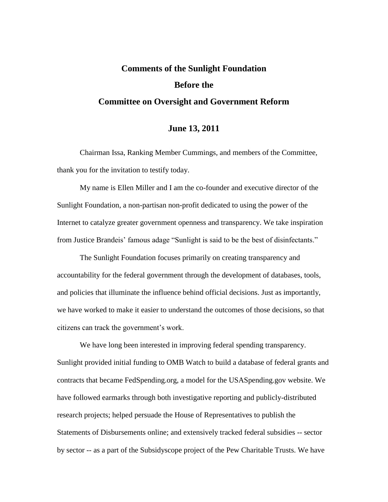## **Comments of the Sunlight Foundation Before the Committee on Oversight and Government Reform**

## **June 13, 2011**

Chairman Issa, Ranking Member Cummings, and members of the Committee, thank you for the invitation to testify today.

My name is Ellen Miller and I am the co-founder and executive director of the Sunlight Foundation, a non-partisan non-profit dedicated to using the power of the Internet to catalyze greater government openness and transparency. We take inspiration from Justice Brandeis' famous adage "Sunlight is said to be the best of disinfectants."

The Sunlight Foundation focuses primarily on creating transparency and accountability for the federal government through the development of databases, tools, and policies that illuminate the influence behind official decisions. Just as importantly, we have worked to make it easier to understand the outcomes of those decisions, so that citizens can track the government's work.

We have long been interested in improving federal spending transparency. Sunlight provided initial funding to OMB Watch to build a database of federal grants and contracts that became FedSpending.org, a model for the USASpending.gov website. We have followed earmarks through both investigative reporting and publicly-distributed research projects; helped persuade the House of Representatives to publish the Statements of Disbursements online; and extensively tracked federal subsidies -- sector by sector -- as a part of the Subsidyscope project of the Pew Charitable Trusts. We have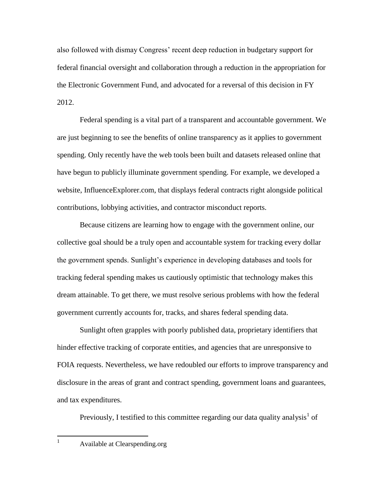also followed with dismay Congress' recent deep reduction in budgetary support for federal financial oversight and collaboration through a reduction in the appropriation for the Electronic Government Fund, and advocated for a reversal of this decision in FY 2012.

Federal spending is a vital part of a transparent and accountable government. We are just beginning to see the benefits of online transparency as it applies to government spending. Only recently have the web tools been built and datasets released online that have begun to publicly illuminate government spending. For example, we developed a website, InfluenceExplorer.com, that displays federal contracts right alongside political contributions, lobbying activities, and contractor misconduct reports.

Because citizens are learning how to engage with the government online, our collective goal should be a truly open and accountable system for tracking every dollar the government spends. Sunlight's experience in developing databases and tools for tracking federal spending makes us cautiously optimistic that technology makes this dream attainable. To get there, we must resolve serious problems with how the federal government currently accounts for, tracks, and shares federal spending data.

Sunlight often grapples with poorly published data, proprietary identifiers that hinder effective tracking of corporate entities, and agencies that are unresponsive to FOIA requests. Nevertheless, we have redoubled our efforts to improve transparency and disclosure in the areas of grant and contract spending, government loans and guarantees, and tax expenditures.

Previously, I testified to this committee regarding our data quality analysis<sup>1</sup> of

 $\mathbf{1}$ 

<sup>1</sup> Available at Clearspending.org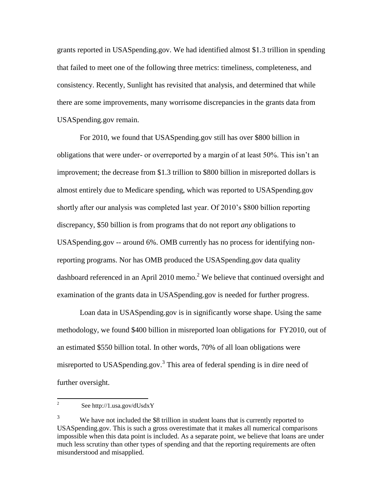grants reported in USASpending.gov. We had identified almost \$1.3 trillion in spending that failed to meet one of the following three metrics: timeliness, completeness, and consistency. Recently, Sunlight has revisited that analysis, and determined that while there are some improvements, many worrisome discrepancies in the grants data from USASpending.gov remain.

For 2010, we found that USASpending.gov still has over \$800 billion in obligations that were under- or overreported by a margin of at least 50%. This isn't an improvement; the decrease from \$1.3 trillion to \$800 billion in misreported dollars is almost entirely due to Medicare spending, which was reported to USASpending.gov shortly after our analysis was completed last year. Of 2010's \$800 billion reporting discrepancy, \$50 billion is from programs that do not report *any* obligations to USASpending.gov -- around 6%. OMB currently has no process for identifying nonreporting programs. Nor has OMB produced the USASpending.gov data quality dashboard referenced in an April 2010 memo.<sup>2</sup> We believe that continued oversight and examination of the grants data in USASpending.gov is needed for further progress.

Loan data in USASpending.gov is in significantly worse shape. Using the same methodology, we found \$400 billion in misreported loan obligations for FY2010, out of an estimated \$550 billion total. In other words, 70% of all loan obligations were misreported to USAS pending gov.<sup>3</sup> This area of federal spending is in dire need of further oversight.

 $\frac{1}{2}$ See http://1.usa.gov/dUsdxY

<sup>&</sup>lt;sup>3</sup> We have not included the \$8 trillion in student loans that is currently reported to USASpending.gov. This is such a gross overestimate that it makes all numerical comparisons impossible when this data point is included. As a separate point, we believe that loans are under much less scrutiny than other types of spending and that the reporting requirements are often misunderstood and misapplied.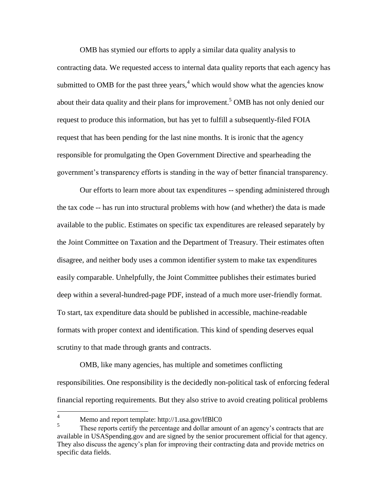OMB has stymied our efforts to apply a similar data quality analysis to contracting data. We requested access to internal data quality reports that each agency has submitted to OMB for the past three years,  $4\pi$  which would show what the agencies know about their data quality and their plans for improvement.<sup>5</sup> OMB has not only denied our request to produce this information, but has yet to fulfill a subsequently-filed FOIA request that has been pending for the last nine months. It is ironic that the agency responsible for promulgating the Open Government Directive and spearheading the government's transparency efforts is standing in the way of better financial transparency.

Our efforts to learn more about tax expenditures -- spending administered through the tax code -- has run into structural problems with how (and whether) the data is made available to the public. Estimates on specific tax expenditures are released separately by the Joint Committee on Taxation and the Department of Treasury. Their estimates often disagree, and neither body uses a common identifier system to make tax expenditures easily comparable. Unhelpfully, the Joint Committee publishes their estimates buried deep within a several-hundred-page PDF, instead of a much more user-friendly format. To start, tax expenditure data should be published in accessible, machine-readable formats with proper context and identification. This kind of spending deserves equal scrutiny to that made through grants and contracts.

OMB, like many agencies, has multiple and sometimes conflicting responsibilities. One responsibility is the decidedly non-political task of enforcing federal financial reporting requirements. But they also strive to avoid creating political problems

 $\overline{4}$ Memo and report template: http://1.usa.gov/lfBlC0

<sup>5</sup> These reports certify the percentage and dollar amount of an agency's contracts that are available in USASpending.gov and are signed by the senior procurement official for that agency. They also discuss the agency's plan for improving their contracting data and provide metrics on specific data fields.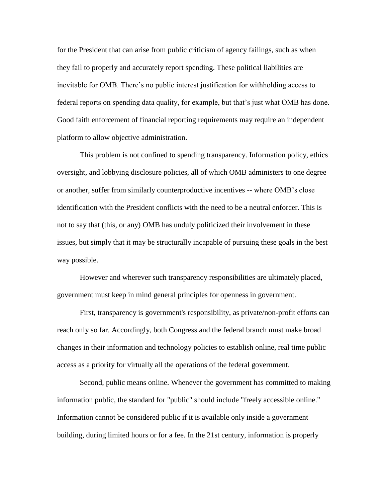for the President that can arise from public criticism of agency failings, such as when they fail to properly and accurately report spending. These political liabilities are inevitable for OMB. There's no public interest justification for withholding access to federal reports on spending data quality, for example, but that's just what OMB has done. Good faith enforcement of financial reporting requirements may require an independent platform to allow objective administration.

This problem is not confined to spending transparency. Information policy, ethics oversight, and lobbying disclosure policies, all of which OMB administers to one degree or another, suffer from similarly counterproductive incentives -- where OMB's close identification with the President conflicts with the need to be a neutral enforcer. This is not to say that (this, or any) OMB has unduly politicized their involvement in these issues, but simply that it may be structurally incapable of pursuing these goals in the best way possible.

However and wherever such transparency responsibilities are ultimately placed, government must keep in mind general principles for openness in government.

First, transparency is government's responsibility, as private/non-profit efforts can reach only so far. Accordingly, both Congress and the federal branch must make broad changes in their information and technology policies to establish online, real time public access as a priority for virtually all the operations of the federal government.

Second, public means online. Whenever the government has committed to making information public, the standard for "public" should include "freely accessible online." Information cannot be considered public if it is available only inside a government building, during limited hours or for a fee. In the 21st century, information is properly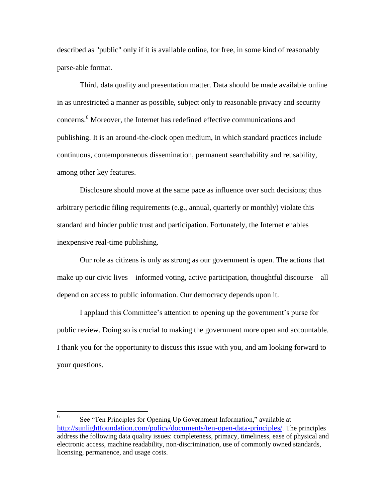described as "public" only if it is available online, for free, in some kind of reasonably parse-able format.

Third, data quality and presentation matter. Data should be made available online in as unrestricted a manner as possible, subject only to reasonable privacy and security concerns.<sup>6</sup> Moreover, the Internet has redefined effective communications and publishing. It is an around-the-clock open medium, in which standard practices include continuous, contemporaneous dissemination, permanent searchability and reusability, among other key features.

Disclosure should move at the same pace as influence over such decisions; thus arbitrary periodic filing requirements (e.g., annual, quarterly or monthly) violate this standard and hinder public trust and participation. Fortunately, the Internet enables inexpensive real-time publishing.

Our role as citizens is only as strong as our government is open. The actions that make up our civic lives – informed voting, active participation, thoughtful discourse – all depend on access to public information. Our democracy depends upon it.

I applaud this Committee's attention to opening up the government's purse for public review. Doing so is crucial to making the government more open and accountable. I thank you for the opportunity to discuss this issue with you, and am looking forward to your questions.

 6 See "Ten Principles for Opening Up Government Information," available at <http://sunlightfoundation.com/policy/documents/ten-open-data-principles/>. The principles address the following data quality issues: completeness, primacy, timeliness, ease of physical and electronic access, machine readability, non-discrimination, use of commonly owned standards, licensing, permanence, and usage costs.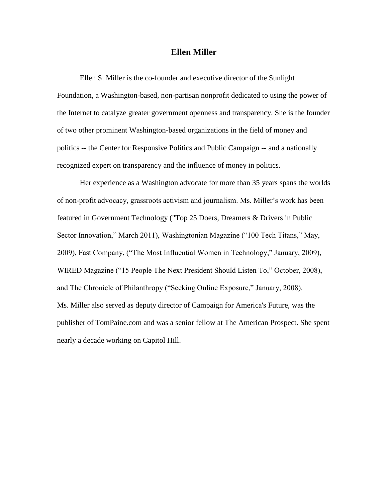## **Ellen Miller**

Ellen S. Miller is the co-founder and executive director of the Sunlight Foundation, a Washington-based, non-partisan nonprofit dedicated to using the power of the Internet to catalyze greater government openness and transparency. She is the founder of two other prominent Washington-based organizations in the field of money and politics -- the Center for Responsive Politics and Public Campaign -- and a nationally recognized expert on transparency and the influence of money in politics.

Her experience as a Washington advocate for more than 35 years spans the worlds of non-profit advocacy, grassroots activism and journalism. Ms. Miller's work has been featured in Government Technology ("Top 25 Doers, Dreamers & Drivers in Public Sector Innovation," March 2011), Washingtonian Magazine ("100 Tech Titans," May, 2009), Fast Company, ("The Most Influential Women in Technology," January, 2009), WIRED Magazine ("15 People The Next President Should Listen To," October, 2008), and The Chronicle of Philanthropy ("Seeking Online Exposure," January, 2008). Ms. Miller also served as deputy director of Campaign for America's Future, was the publisher of TomPaine.com and was a senior fellow at The American Prospect. She spent nearly a decade working on Capitol Hill.